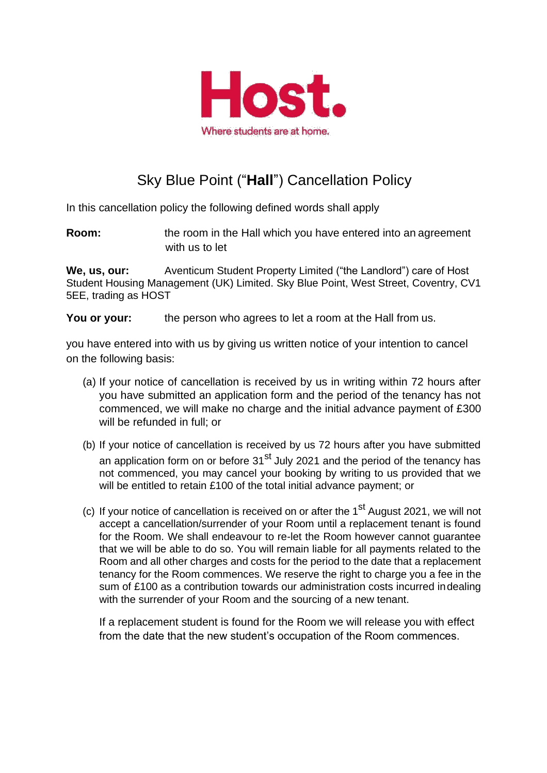

## Sky Blue Point ("**Hall**") Cancellation Policy

In this cancellation policy the following defined words shall apply

**Room:** the room in the Hall which you have entered into an agreement with us to let

**We, us, our:** Aventicum Student Property Limited ("the Landlord") care of Host Student Housing Management (UK) Limited. Sky Blue Point, West Street, Coventry, CV1 5EE, trading as HOST

**You or your:** the person who agrees to let a room at the Hall from us.

you have entered into with us by giving us written notice of your intention to cancel on the following basis:

- (a) If your notice of cancellation is received by us in writing within 72 hours after you have submitted an application form and the period of the tenancy has not commenced, we will make no charge and the initial advance payment of £300 will be refunded in full; or
- (b) If your notice of cancellation is received by us 72 hours after you have submitted an application form on or before  $31<sup>st</sup>$  July 2021 and the period of the tenancy has not commenced, you may cancel your booking by writing to us provided that we will be entitled to retain £100 of the total initial advance payment; or
- (c) If your notice of cancellation is received on or after the 1<sup>st</sup> August 2021, we will not accept a cancellation/surrender of your Room until a replacement tenant is found for the Room. We shall endeavour to re-let the Room however cannot guarantee that we will be able to do so. You will remain liable for all payments related to the Room and all other charges and costs for the period to the date that a replacement tenancy for the Room commences. We reserve the right to charge you a fee in the sum of £100 as a contribution towards our administration costs incurred indealing with the surrender of your Room and the sourcing of a new tenant.

If a replacement student is found for the Room we will release you with effect from the date that the new student's occupation of the Room commences.